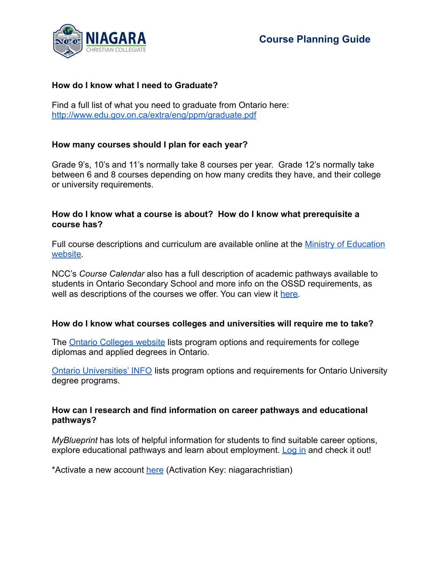

### **How do I know what I need to Graduate?**

Find a full list of what you need to graduate from Ontario here: <http://www.edu.gov.on.ca/extra/eng/ppm/graduate.pdf>

### **How many courses should I plan for each year?**

Grade 9's, 10's and 11's normally take 8 courses per year. Grade 12's normally take between 6 and 8 courses depending on how many credits they have, and their college or university requirements.

### **How do I know what a course is about? How do I know what prerequisite a course has?**

Full course descriptions and curriculum are available online at the [Ministry of Education](http://www.edu.gov.on.ca/eng/curriculum/secondary/) [website.](http://www.edu.gov.on.ca/eng/curriculum/secondary/)

NCC's *Course Calendar* also has a full description of academic pathways available to students in Ontario Secondary School and more info on the OSSD requirements, as well as descriptions of the courses we offer. You can view it [here.](https://www.niagaracc.com/sites/default/files/secondary_school_course_calendar_2020-21.pdf)

### **How do I know what courses colleges and universities will require me to take?**

The [Ontario Colleges website](https://www.ontariocolleges.ca/en) lists program options and requirements for college diplomas and applied degrees in Ontario.

[Ontario Universities' INFO](https://www.ontariouniversitiesinfo.ca) lists program options and requirements for Ontario University degree programs.

### **How can I research and find information on career pathways and educational pathways?**

*MyBlueprint* has lots of helpful information for students to find suitable career options, explore educational pathways and learn about employment. [Log in](https://app.myblueprint.ca) and check it out!

\*Activate a new account [here](https://app.myblueprint.ca/register?returnUrl=/student/dashboard) (Activation Key: niagarachristian)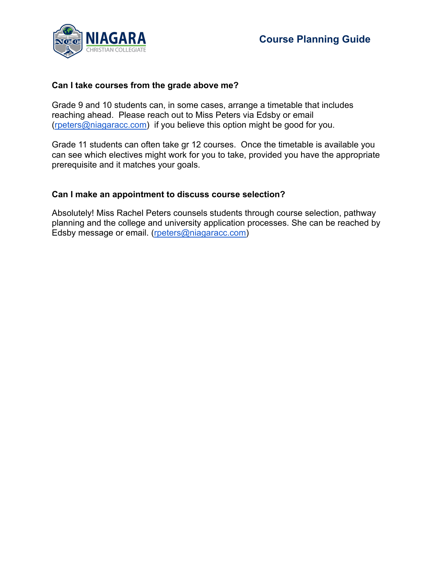



### **Can I take courses from the grade above me?**

Grade 9 and 10 students can, in some cases, arrange a timetable that includes reaching ahead. Please reach out to Miss Peters via Edsby or email ([rpeters@niagaracc.com\)](mailto:rpeters@niagaracc.com) if you believe this option might be good for you.

Grade 11 students can often take gr 12 courses. Once the timetable is available you can see which electives might work for you to take, provided you have the appropriate prerequisite and it matches your goals.

### **Can I make an appointment to discuss course selection?**

Absolutely! Miss Rachel Peters counsels students through course selection, pathway planning and the college and university application processes. She can be reached by Edsby message or email. ([rpeters@niagaracc.com\)](mailto:rpeters@niagaracc.com)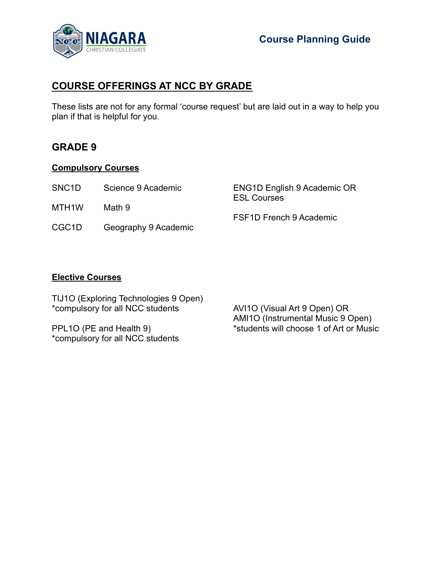

# **COURSE OFFERINGS AT NCC BY GRADE**

These lists are not for any formal 'course request' but are laid out in a way to help you plan if that is helpful for you.

## **GRADE 9**

### **Compulsory Courses**

SNC1D Science 9 Academic

MTH<sub>1</sub>W Math 9

CGC1D Geography 9 Academic

|                    | ENG1D English 9 Academic OR |
|--------------------|-----------------------------|
| <b>ESL Courses</b> |                             |

FSF1D French 9 Academic

### **Elective Courses**

TIJ1O (Exploring Technologies 9 Open) \*compulsory for all NCC students

PPL1O (PE and Health 9) \*compulsory for all NCC students AVI1O (Visual Art 9 Open) OR AMI1O (Instrumental Music 9 Open) \*students will choose 1 of Art or Music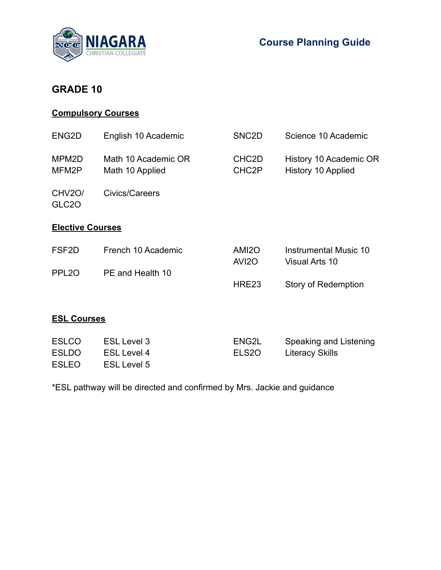

# **GRADE 10**

# **Compulsory Courses**

| ENG <sub>2</sub> D                           | English 10 Academic                                            | SNC <sub>2</sub> D                       | Science 10 Academic                                 |
|----------------------------------------------|----------------------------------------------------------------|------------------------------------------|-----------------------------------------------------|
| MPM <sub>2</sub> D<br>MFM2P                  | Math 10 Academic OR<br>Math 10 Applied                         | CHC <sub>2</sub> D<br>CHC <sub>2</sub> P | History 10 Academic OR<br><b>History 10 Applied</b> |
| CHV <sub>2</sub> O/<br>GLC <sub>20</sub>     | Civics/Careers                                                 |                                          |                                                     |
| <b>Elective Courses</b>                      |                                                                |                                          |                                                     |
| FSF <sub>2</sub> D                           | French 10 Academic                                             | AMI <sub>20</sub><br>AVI <sub>20</sub>   | Instrumental Music 10<br>Visual Arts 10             |
| PPL <sub>20</sub>                            | PE and Health 10                                               |                                          |                                                     |
|                                              |                                                                | HRE23                                    | Story of Redemption                                 |
| <b>ESL Courses</b>                           |                                                                |                                          |                                                     |
| <b>ESLCO</b><br><b>ESLDO</b><br><b>ESLEO</b> | <b>ESL Level 3</b><br><b>ESL Level 4</b><br><b>ESL Level 5</b> | ENG2L<br>ELS <sub>20</sub>               | Speaking and Listening<br><b>Literacy Skills</b>    |

\*ESL pathway will be directed and confirmed by Mrs. Jackie and guidance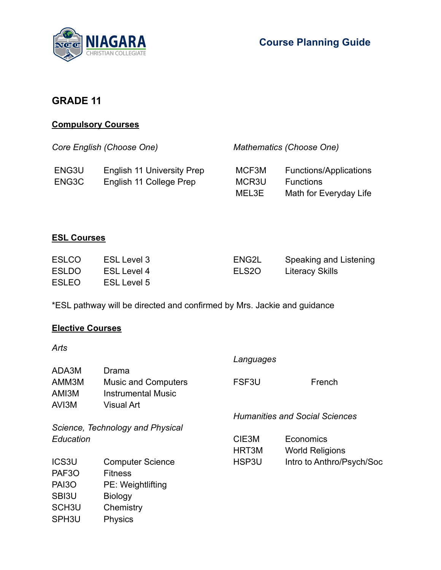

## **GRADE 11**

### **Compulsory Courses**

|                | Core English (Choose One)                                    |                         | Mathematics (Choose One)                                             |
|----------------|--------------------------------------------------------------|-------------------------|----------------------------------------------------------------------|
| ENG3U<br>ENG3C | <b>English 11 University Prep</b><br>English 11 College Prep | MCF3M<br>MCR3U<br>MEL3E | Functions/Applications<br><b>Functions</b><br>Math for Everyday Life |

## **ESL Courses**

| <b>ESLCO</b> | ESL Level 3 | ENG2L | Speaking and Listening |
|--------------|-------------|-------|------------------------|
| <b>ESLDO</b> | ESL Level 4 | ELS2O | <b>Literacy Skills</b> |
| <b>ESLEO</b> | ESL Level 5 |       |                        |

\*ESL pathway will be directed and confirmed by Mrs. Jackie and guidance

## **Elective Courses**

*Arts*

|                    |                                  | Languages |                                       |
|--------------------|----------------------------------|-----------|---------------------------------------|
| ADA3M              | Drama                            |           |                                       |
| AMM3M              | <b>Music and Computers</b>       | FSF3U     | French                                |
| AMI3M              | <b>Instrumental Music</b>        |           |                                       |
| AVI3M              | <b>Visual Art</b>                |           |                                       |
|                    |                                  |           | <b>Humanities and Social Sciences</b> |
|                    | Science, Technology and Physical |           |                                       |
| Education          |                                  | CIE3M     | Economics                             |
|                    |                                  | HRT3M     | <b>World Religions</b>                |
| ICS3U              | <b>Computer Science</b>          | HSP3U     | Intro to Anthro/Psych/Soc             |
| PAF <sub>3</sub> O | <b>Fitness</b>                   |           |                                       |
| PAI <sub>30</sub>  | PE: Weightlifting                |           |                                       |
| SBI3U              | <b>Biology</b>                   |           |                                       |
| SCH <sub>3U</sub>  | Chemistry                        |           |                                       |
| SPH <sub>3U</sub>  | <b>Physics</b>                   |           |                                       |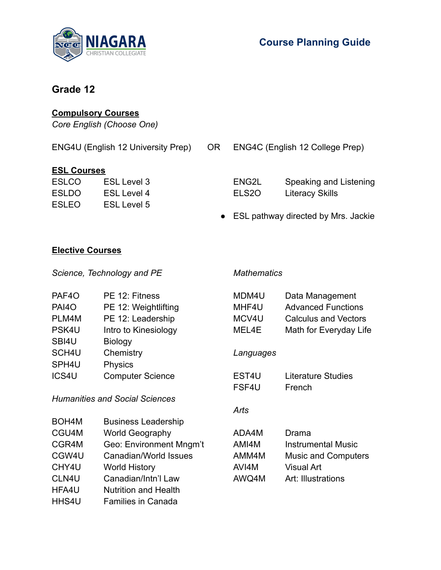

# **Grade 12**

## **Compulsory Courses**

*Core English (Choose One)*

|                    | <b>ENG4U (English 12 University Prep)</b> | OR | ENG4C (English 12 College Prep) |                                       |
|--------------------|-------------------------------------------|----|---------------------------------|---------------------------------------|
| <b>ESL Courses</b> |                                           |    |                                 |                                       |
| ESLCO              | <b>ESL Level 3</b>                        |    | ENG2L                           | Speaking and Listening                |
| <b>ESLDO</b>       | <b>ESL Level 4</b>                        |    | ELS <sub>20</sub>               | <b>Literacy Skills</b>                |
| <b>ESLEO</b>       | <b>ESL Level 5</b>                        |    |                                 |                                       |
|                    |                                           |    |                                 | • ESL pathway directed by Mrs. Jackie |

### **Elective Courses**

*Science, Technology and PE*

*Mathematics*

| PAF <sub>4</sub> O                    | PE 12: Fitness              | MDM4U             | Data Management             |
|---------------------------------------|-----------------------------|-------------------|-----------------------------|
| <b>PAI40</b>                          | PE 12: Weightlifting        | MHF4U             | <b>Advanced Functions</b>   |
| PLM4M                                 | PE 12: Leadership           | MCV4U             | <b>Calculus and Vectors</b> |
| PSK4U                                 | Intro to Kinesiology        | MEL4E             | Math for Everyday Life      |
| SBI4U                                 | <b>Biology</b>              |                   |                             |
| SCH4U                                 | Chemistry                   | Languages         |                             |
| SPH <sub>4U</sub>                     | Physics                     |                   |                             |
| ICS4U                                 | <b>Computer Science</b>     | EST <sub>4U</sub> | Literature Studies          |
|                                       |                             | FSF4U             | French                      |
| <b>Humanities and Social Sciences</b> |                             |                   |                             |
|                                       |                             | Arts              |                             |
| BOH <sub>4</sub> M                    | <b>Business Leadership</b>  |                   |                             |
| CGU4M                                 | <b>World Geography</b>      | ADA4M             | Drama                       |
| CGR4M                                 | Geo: Environment Mngm't     | AMI4M             | <b>Instrumental Music</b>   |
| CGW4U                                 | Canadian/World Issues       | AMM4M             | <b>Music and Computers</b>  |
| CHY4U                                 | <b>World History</b>        | AVI4M             | <b>Visual Art</b>           |
| CLN4U                                 | Canadian/Intn'l Law         | AWQ4M             | Art: Illustrations          |
| HFA4U                                 | <b>Nutrition and Health</b> |                   |                             |
| HHS4U                                 | <b>Families in Canada</b>   |                   |                             |